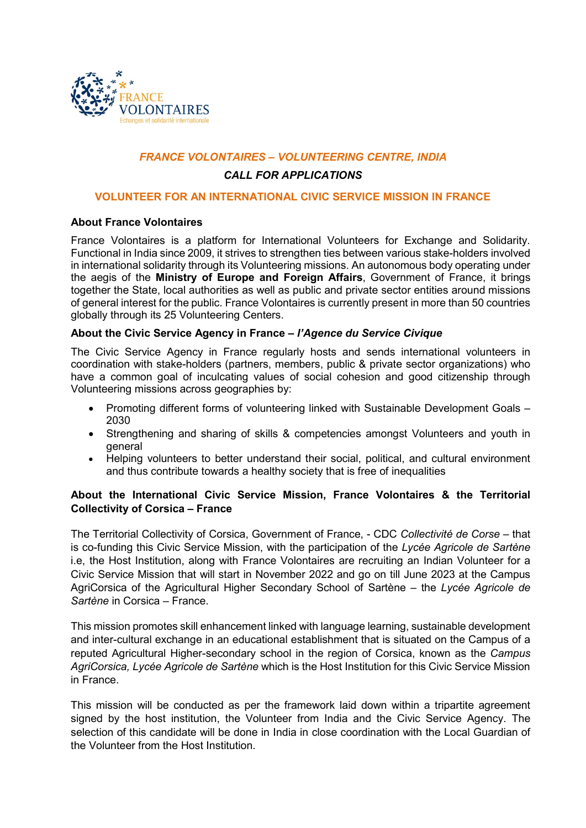

# *FRANCE VOLONTAIRES – VOLUNTEERING CENTRE, INDIA*

# *CALL FOR APPLICATIONS*

# **VOLUNTEER FOR AN INTERNATIONAL CIVIC SERVICE MISSION IN FRANCE**

# **About France Volontaires**

France Volontaires is a platform for International Volunteers for Exchange and Solidarity. Functional in India since 2009, it strives to strengthen ties between various stake-holders involved in international solidarity through its Volunteering missions. An autonomous body operating under the aegis of the **Ministry of Europe and Foreign Affairs**, Government of France, it brings together the State, local authorities as well as public and private sector entities around missions of general interest for the public. France Volontaires is currently present in more than 50 countries globally through its 25 Volunteering Centers.

# **About the Civic Service Agency in France –** *l'Agence du Service Civique*

The Civic Service Agency in France regularly hosts and sends international volunteers in coordination with stake-holders (partners, members, public & private sector organizations) who have a common goal of inculcating values of social cohesion and good citizenship through Volunteering missions across geographies by:

- Promoting different forms of volunteering linked with Sustainable Development Goals 2030
- Strengthening and sharing of skills & competencies amongst Volunteers and youth in general
- Helping volunteers to better understand their social, political, and cultural environment and thus contribute towards a healthy society that is free of inequalities

# **About the International Civic Service Mission, France Volontaires & the Territorial Collectivity of Corsica – France**

The Territorial Collectivity of Corsica, Government of France, - CDC *Collectivité de Corse* – that is co-funding this Civic Service Mission, with the participation of the *Lycée Agricole de Sartène* i.e, the Host Institution, along with France Volontaires are recruiting an Indian Volunteer for a Civic Service Mission that will start in November 2022 and go on till June 2023 at the Campus AgriCorsica of the Agricultural Higher Secondary School of Sartène – the *Lycée Agricole de Sartène* in Corsica – France.

This mission promotes skill enhancement linked with language learning, sustainable development and inter-cultural exchange in an educational establishment that is situated on the Campus of a reputed Agricultural Higher-secondary school in the region of Corsica, known as the *Campus AgriCorsica, Lycée Agricole de Sartène* which is the Host Institution for this Civic Service Mission in France.

This mission will be conducted as per the framework laid down within a tripartite agreement signed by the host institution, the Volunteer from India and the Civic Service Agency. The selection of this candidate will be done in India in close coordination with the Local Guardian of the Volunteer from the Host Institution.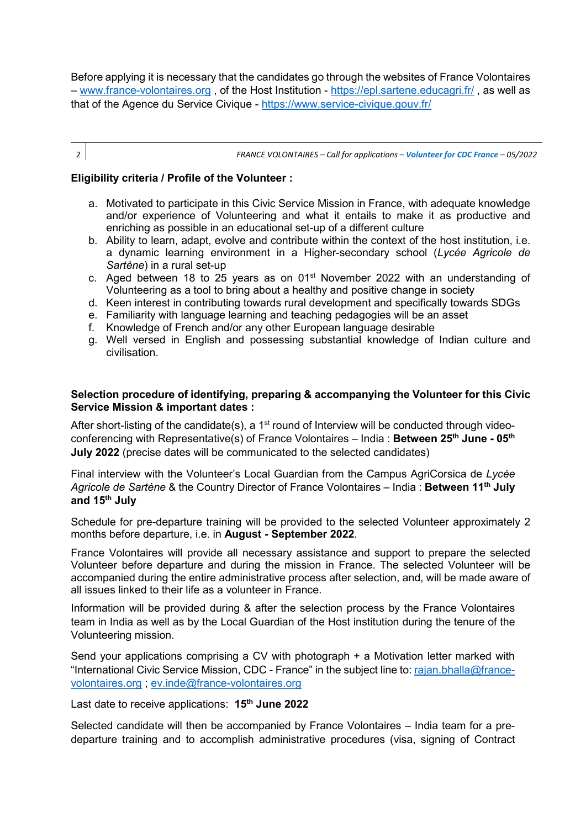Before applying it is necessary that the candidates go through the websites of France Volontaires – [www.france-volontaires.org](http://www.france-volontaires.org/) , of the Host Institution -<https://epl.sartene.educagri.fr/> , as well as that of the Agence du Service Civique -<https://www.service-civique.gouv.fr/>

2 *FRANCE VOLONTAIRES – Call for applications – Volunteer for CDC France – 05/2022*

# **Eligibility criteria / Profile of the Volunteer :**

- a. Motivated to participate in this Civic Service Mission in France, with adequate knowledge and/or experience of Volunteering and what it entails to make it as productive and enriching as possible in an educational set-up of a different culture
- b. Ability to learn, adapt, evolve and contribute within the context of the host institution, i.e. a dynamic learning environment in a Higher-secondary school (*Lycée Agricole de Sartène*) in a rural set-up
- c. Aged between 18 to 25 years as on 01<sup>st</sup> November 2022 with an understanding of Volunteering as a tool to bring about a healthy and positive change in society
- d. Keen interest in contributing towards rural development and specifically towards SDGs
- e. Familiarity with language learning and teaching pedagogies will be an asset
- f. Knowledge of French and/or any other European language desirable
- g. Well versed in English and possessing substantial knowledge of Indian culture and civilisation.

# **Selection procedure of identifying, preparing & accompanying the Volunteer for this Civic Service Mission & important dates :**

After short-listing of the candidate(s), a  $1<sup>st</sup>$  round of Interview will be conducted through videoconferencing with Representative(s) of France Volontaires – India : **Between 25th June - 05th July 2022** (precise dates will be communicated to the selected candidates)

Final interview with the Volunteer's Local Guardian from the Campus AgriCorsica de *Lycée Agricole de Sartène* & the Country Director of France Volontaires – India : **Between 11th July and 15th July** 

Schedule for pre-departure training will be provided to the selected Volunteer approximately 2 months before departure, i.e. in **August - September 2022**.

France Volontaires will provide all necessary assistance and support to prepare the selected Volunteer before departure and during the mission in France. The selected Volunteer will be accompanied during the entire administrative process after selection, and, will be made aware of all issues linked to their life as a volunteer in France.

Information will be provided during & after the selection process by the France Volontaires team in India as well as by the Local Guardian of the Host institution during the tenure of the Volunteering mission.

Send your applications comprising a CV with photograph + a Motivation letter marked with "International Civic Service Mission, CDC - France" in the subject line to: [rajan.bhalla@france](mailto:rajan.bhalla@france-volontaires.org)[volontaires.org](mailto:rajan.bhalla@france-volontaires.org) ; [ev.inde@france-volontaires.org](mailto:ev.inde@france-volontaires.org) 

Last date to receive applications: **15th June 2022**

Selected candidate will then be accompanied by France Volontaires – India team for a predeparture training and to accomplish administrative procedures (visa, signing of Contract